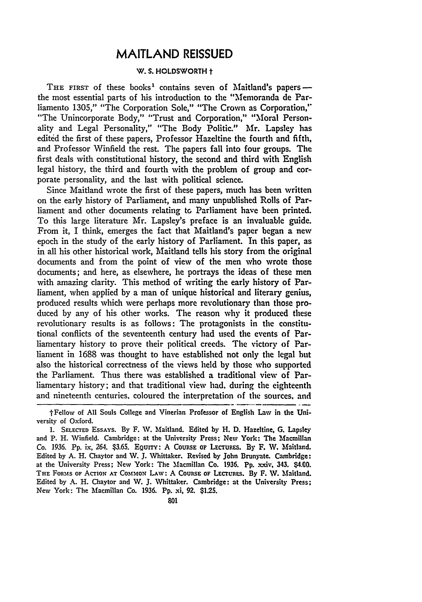## **MAITLAND REISSUED**

## **W. S. HOLDSWORTH** t

THE FIRST of these books<sup>1</sup> contains seven of Maitland's papers the most essential parts of his introduction to the "Memoranda de Parliamento **1305,"** "The Corporation Sole," "The Crown as Corporation," "The Unincorporate Body," "Trust and Corporation," "Moral Personality and Legal Personality," "The Body Politic." Mr. Lapsley has edited the first of these papers, Professor Hazeltine the fourth and fifth, and Professor Winfield the rest. The papers fall into four groups. The first deals with constitutional history, the second and third with English legal history, the third and fourth with the problem of group and corporate personality, and the last with political science.

Since Maitland wrote the first of these papers, much has been written on the early history of Parliament, and many unpublished Rolls of Parliament and other documents relating **to** Parliament have been printed. To this large literature Mr. Lapsley's preface is an invaluable guide. From it, I think, emerges the fact that Maitland's paper began a **new** epoch in the study of the early history of Parliament. In this paper, as in all his other historical work, Maitland tells his story from the original documents and from the point of view of the men who wrote those documents; and here, as elsewhere, he portrays the ideas of these men with amazing clarity. This method of writing the early history of Parliament, when applied **by** a man of unique historical and literary genius, produced results which were perhaps more revolutionary than those produced **by** any of his other works. The reason why it produced these revolutionary results is as follows: The protagonists in the constitutional conflicts of the seventeenth century had used the events of Parliamentary history to prove their political creeds. The victory of Parliament in **1688** was thought to have established not only the legal but also the historical correctness of the views held **by** those who supported the Parliament. Thus there was established a traditional view of Parliamentary history; and that traditional view had, during the eighteenth and nineteenth centuries, coloured the interpretation **of** the sources, and

tFellow of **All** Souls College and Vinerian Professor of English Law in the University of Oxford.

**<sup>1.</sup> SELECTED ESSAYS. By** F. **W.** Maitland. Edited **by** H. **D.** Hazeltine, **G.** Lapsley and P. H. Winfield. Cambridge: at the University Press; **New** York: The Macmillan **Co.** *1936.* **Pp.** ix, 264. **\$3.65. EQUITY: A** COURSE **oF** LECTURES. **By** F. **W.** Maitland. Edited **by A.** H. Chaytor and **V. J.** Whittaker. Revised **by** John Brun)ate. Cambridge: at the University Press; New York: The Macmillan Co. **1936. Pp.** xxiv. 343. \$4.00. **THE FORMS OF** AcTioN **AT** Comto-i LAw: **A** COURSE **OF** LEcTuRES. **By** F. **W.** Maitland. Edited **by A.** H. Chaytor and **NV. J.** Whittaker. Cambridge: at the University Press; New York: The Macmillan Co. **1936. Pp. xi, 92.** \$125.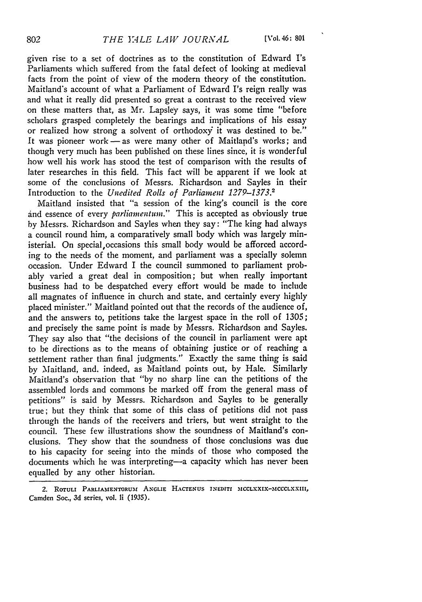given rise to a set of doctrines as to the constitution of Edward I's Parliaments which suffered from the fatal defect of looking at medieval facts from the point of view of the modern theory of the constitution. Maitland's account of what a Parliament of Edward I's reign really was and what it really did presented so great a contrast to the received view on these matters that, as Mr. Lapsley says, it was some time "before scholars grasped completely the bearings and implications of his essay or realized how strong a solvent of orthodoxy it was destined to be," It was pioneer work - as were many other of Maitland's works; and though very much has been published on these lines since, it is wonderful how well his work has stood the test of comparison with the results of later researches in this field. This fact will be apparent if we look at some of the conclusions of Messrs. Richardson and Sayles in their Introduction to the *Unedited Rolls of Parliament* 1279-1373.2

Maitland insisted that "a session of the king's council is the core and essence of every *parliamentum*." This is accepted as obviously true by Messrs. Richardson and Sayles when they say: "The king had always a council round him, a comparatively small body which was largely ministerial. On special,occasions this small body would be afforced according to the needs of the moment, and parliament was a specially solemn occasion. Under Edward I the council summoned to parliament probably varied a great deal in composition; but when really important business had to be despatched every effort would be made to include all magnates of influence in church and state, and certainly every highly placed minister." Maitland pointed out that the records of the audience of, and the answers to, petitions take the largest space in the roll of 1305; and precisely the same point is made by Messrs. Richardson and Sayles. They say also that "the decisions of the council in parliament were apt to be directions as to the means of obtaining justice or of reaching a settlement rather than final judgments." Exactly the same thing is said by Maitland, and. indeed, as Maitland points out, by Hale. Similarly Maitland's observation that "by no sharp line can the petitions of the assembled lords and commons be marked off from the general mass of petitions" is said by Messrs. Richardson and Sayles to be generally true; but they think that some of this class of petitions did not pass through the hands of the receivers and triers, but went straight to the council. These few illustrations show the soundness of Maitland's conclusions. They show that the soundness of those conclusions was due to his capacity for seeing into the minds of those who composed the documents which he was interpreting-a capacity which has never been equalled by any other historian.

<sup>2.</sup> **ROTULI PARLIAMENTORUM-** ANGLIE **HACTENUS INEFDITI MCCLXXIX-M1CCCLX XIII,** Camden Soc., **3d** series, vol. 1i **(1935).**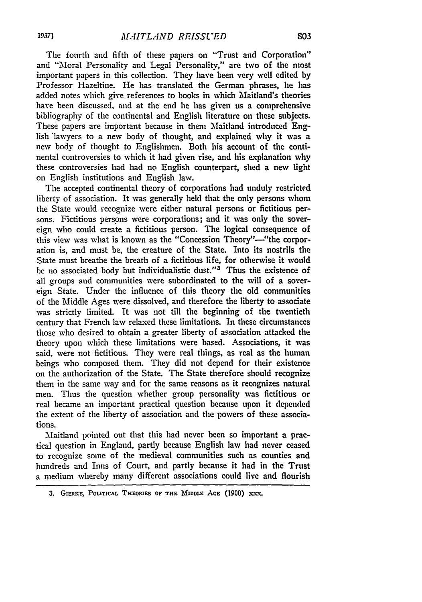The fourth and fifth of these papers on "Trust and Corporation" and "Moral Personality and Legal Personality," are two of the most important papers in this collection. They have been very well edited by Professor Hazeltine. He has translated the German phrases, he has added notes which give references to books in which Maitland's theories have been discussed, and at the end he has given us a comprehensive bibliography of the continental and English literature on these subjects. These papers are important because in them Maitland introduced English 'lawyers to a new body of thought, and explained why it was a new body of thought to Englishmen. Both his account of the continental controversies to which it had given rise, and his explanation why these controversies had had no English counterpart, shed a new light on English institutions and English law.

The accepted continental theory of corporations had unduly restricted liberty of association. It was generally held that the only persons whom the State would recognize were either natural persons or fictitious persons. Fictitious persons were corporations; and it was only the sovereign who could create a fictitious person. The logical consequence of this view was what is known as the "Concession Theory"-"the corporation is, and must be, the creature of the State. Into its nostrils the State must breathe the breath of a fictitious life, for otherwise it would be no associated body but individualistic dust."<sup>3</sup> Thus the existence of all groups and communities were subordinated to the will of a sovereign State. Under the influence of this theory the old communities of the Middle Ages were dissolved, and therefore the liberty to associate was strictly limited. It was not till the beginning of the twentieth century that French law relaxed these limitations. In these circumstances those who desired to obtain a greater liberty of association attacked the theory upon which these limitations were based. Associations, it was said, were not fictitious. They were real things, as real as the human beings who composed them. They did not depend for their existence on the authorization of the State. The State therefore should recognize them in the same way and for the same reasons as it recognizes natural men. Thus the question whether group personality was fictitious or real became an important practical question because upon it depended the extent of the liberty of association and the powers of these associations.

Maitland pointed out that this had never been so important a practical question in England, partly because English law had never ceased to recognize some of the medieval communities such as counties and hundreds and Inns of Court, and partly because it had in the Trust a medium whereby many different associations could live and flourish

<sup>3.</sup> GIERKE, POLITICAL THEORIES OF THE MIDDLE AGE (1900) XXX.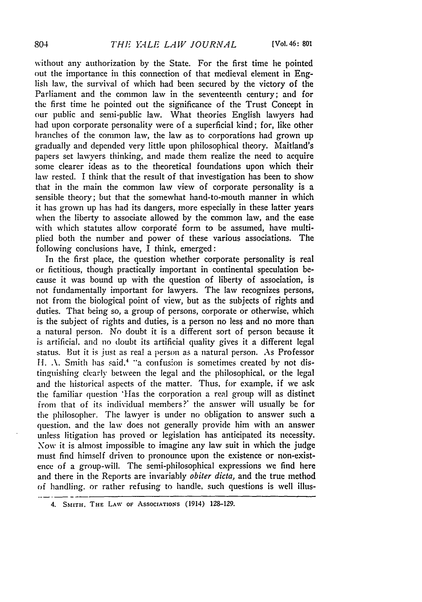without any authorization **by** the State. For the first time he pointed out the importance in this connection of that medieval element in English law, the survival of which had been secured **by** the victory of the Parliament and the common law in the seventeenth century; and for the first time he pointed out the significance of the Trust Concept in our public and semi-public law. What theories English lawyers had had upon corporate personality were of a superficial kind; for, like other branches of the common law, the law as to corporations had grown up gradually and depended very little upon philosophical theory. Maitland's papers set lawyers thinking, and made them realize the need to acquire some clearer ideas as to the theoretical foundations upon which their law rested. I think that the result of that investigation has been to show that in the main the common law view of corporate personality is a sensible theory; but that the somewhat hand-to-mouth manner in which it has grown up has had its dangers, more especially in these latter years when the liberty to associate allowed by the common law, and the ease with which statutes allow corporate form to be assumed, have multiplied both the number and power of these various associations. The following conclusions have, I think, emerged:

In the first place, the question whether corporate personality is real or fictitious, though practically important in continental speculation because it was bound up with the question of liberty of association, is not fundamentally important for lawyers. The law recognizes persons, not from the biological point of view, but as the subjects of rights and duties. That being so, a group of persons, corporate or otherwise, which is the subject of rights and duties, is a person no less and no more than a natural person. No doubt it is a different sort of person because it is artificial. and no doubt its artificial quality gives it a different legal status. But it is iust as real a person as a natural person. As Professor H. A. Smith has said.<sup>4</sup> "a confusion is sometimes created by not distinguishing clearly between the legal and the philosophical, or the legal and the historical aspects of the matter. Thus, for example, if we ask the familiar question 'Has the corporation a real group will as distinct from that of its individual members?' the answer will usually be for the philosopher. The lawyer is under no obligation to answer such a question. and the law does not generally provide him with an answer unless litigation has proved or legislation has anticipated its necessity. Now it is almost impossible to imagine any law suit in which the judge must find himself driven to pronounce upon the existence or non-existence of a group-will. The semi-philosophical expressions we find here and there in the Reports are invariably *obiter dicta,* and the true method of handling, or rather refusing to handle, such questions is well illus-

<sup>4.</sup> SMITH, THE LAW OF Associations (1914) 128-129.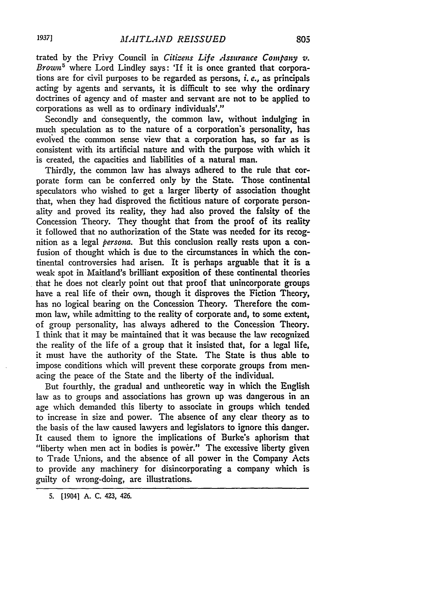trated by the Privy Council in Citizens Life Assurance *Company v. Brown*<sup>5</sup> where Lord Lindley says: 'If it is once granted that corporations are for civil purposes to be regarded as persons, *i. e.,* as principals acting by agents and servants, it is difficult to see why the ordinary doctrines of agency and of master and servant are not to be applied to corporations as well as to ordinary individuals'."

Secondly and consequently, the common law, without indulging in much speculation as to the nature of a corporation's personality, has evolved the common sense view that a corporation has, so far as is consistent with its artificial nature and with the purpose with which it is created, the capacities and liabilities of a natural man.

Thirdly, the common law has always adhered to the rule that corporate form can be conferred only by the State. Those continental speculators who wished to get a larger liberty of association thought that, when they had disproved the fictitious nature of corporate personality and proved its reality, they had also proved the falsity of the Concession Theory. They thought that from the proof of its reality it followed that no authorization of the State was needed for its recognition as a legal *persona.* But this conclusion really rests upon a confusion of thought which is due to the circumstances in which the continental controversies had arisen. It is perhaps arguable that it is a weak spot in Maitland's brilliant exposition of these continental theories that he does not clearly point out that proof that unincorporate groups have a real life of their own, though it disproves the Fiction Theory, has no logical bearing on the Concession Theory. Therefore the common law, while admitting to the reality of corporate and, to some extent, of group personality, has always adhered to the Concession Theory. I think that it may be maintained that it was because the law recognized the reality of the life of a group that it insisted that, for a legal life, it must have the authority of the State. The State is thus able to impose conditions which will prevent these corporate groups from menacing the peace of the State and the liberty of the individual.

But fourthly, the gradual and untheoretic way in which the English law as to groups and associations has grown up was dangerous in an age which demanded this liberty to associate in groups which tended to increase in size and power. The absence of any clear theory as to the basis of the law caused lawyers and legislators to ignore this danger. It caused them to ignore the implications of Burke's aphorism that "liberty when men act in bodies is power." The excessive liberty given to Trade Unions, and the absence of all power in the Company Acts to provide any machinery for disincorporating a company which is guilty of wrong-doing, are illustrations.

**5.** [19041 A. C. 423, 426.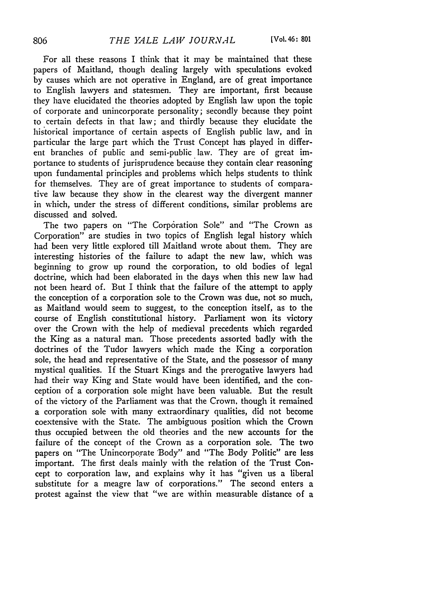For all these reasons I think that it may be maintained that these papers of Maitland, though dealing largely with speculations evoked **by** causes which are not operative in England, are of great importance to English lawyers and statesmen. They are important, first because they have elucidated the theories adopted **by** English law upon the topic of corporate and unincorporate personality; secondly because they point to certain defects in that law; and thirdly because they elucidate the historical importance of certain aspects of English public law, and in particular the large part which the Trust Concept has played in different branches of public and semi-public law. They are of great importance to students of jurisprudence because they contain clear reasoning upon fundamental principles and problems which helps students to think for themselves. They are of great importance to students of comparative law because they show in the clearest way the divergent manner in which, under the stress of different conditions, similar problems are discussed and solved.

The two papers on "The Corporation Sole" and "The Crown as Corporation" are studies in two topics of English legal history which had been very little explored till Maitland wrote about them. They are interesting histories of the failure to adapt the new law, which was beginning to grow up round the corporation, to old bodies of legal doctrine, which had been elaborated in the days when this new law had not been heard of. But I think that the failure of the attempt to apply the conception of a corporation sole to the Crown was due, not so much, as Maitland would seem to suggest, to the conception itself, as to the course of English constitutional history. Parliament won its victory over the Crown with the help of medieval precedents which regarded the King as a natural man. Those precedents assorted badly with the doctrines of the Tudor lawyers which made the King a corporation sole, the head and representative of the State, and the possessor of many mystical qualities. If the Stuart Kings and the prerogative lawyers had had their way King and State would have been identified, and the conception of a corporation sole might have been valuable. But the result of the victory of the Parliament was that the Crown, though it remained a corporation sole with many extraordinary qualities, did not become coextensive with the State. The ambiguous position which the Crown thus occupied between the old theories and the new accounts for the failure of the concept of the Crown as a corporation sole. The two papers on "The Unincorporate 'Body" and "The Body Politic" are less important. The first deals mainly with the relation of the Trust Concept to corporation law, and explains why it has "given us a liberal substitute for a meagre law of corporations." The second enters a protest against the view that "we are within measurable distance of a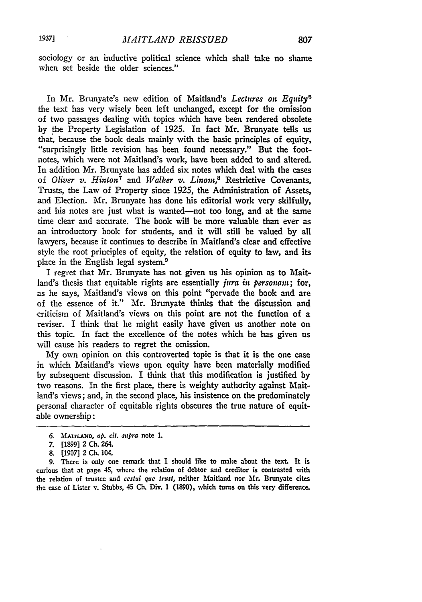In Mr. Brunyate's new edition of Maitland's *Lectures on Equity"* the text has very wisely been left unchanged, except for the omission of two passages dealing with topics which have been rendered obsolete by the Property Legislation of 1925. In fact Mr. Brunyate tells us that, because the book deals mainly with the basic principles of equity, "surprisingly little revision has been found necessary." But the footnotes, which were not Maitland's work, have been added to and altered. In addition Mr. Brunyate has added six notes which deal with the cases of *Oliver v. Hinton7 and Walker v. Linom,8* Restrictive Covenants, Trusts, the Law of Property since **1925,** the Administration of Assets, and Election. Mr. Brunyate has done his editorial work very skilfully, and his notes are just what is wanted-not too long, and at the same time clear and accurate. The book will be more valuable than ever as an introductory book for students, and it will still be valued **by** all lawyers, because it continues to describe in Maitland's clear and effective style the root principles of equity, the relation of equity to law, and its place in the English legal system.9

I regret that Mr. Brunyate has not given us his opinion as to Maitland's thesis that equitable rights are essentially *jura in personam;* for, as he says, Maitland's views on this point "pervade the book and are of the essence of it." Mr. Brunyate thinks that the discussion and criticism of Maitland's views on this point are not the function of a reviser. I think that he might easily have given us another note on this topic. In fact the excellence of the notes which he has given us will cause his readers to regret the omission.

My own opinion on this controverted topic is that it is the one case in which Maitland's views upon equity have been materially modified by subsequent discussion. I think that this modification is justified **by** two reasons. In the first place, there is weighty authority against Maitland's views; and, in the second place, his insistence on the predominately personal character of equitable rights obscures the true nature of equitable ownership:

**<sup>6. 2</sup>NArFLANxD,** *op. cit. mpra* note **1.**

**<sup>7. [1899]</sup>** 2 **Ch.** 264.

**<sup>8. [1907]</sup>** 2 **CI.** 104.

**<sup>9.</sup>** There is only one remark that I should like to make about the text. It is curious that at page 45, where the relation of debtor and creditor is contrasted with the relation of trustee and *cestld que trust,* neither Maitland nor Mr. Brunyate cites the case of Lister v. Stubbs, 45 **Ch.** Div. 1 (1890), which turns on this very difference.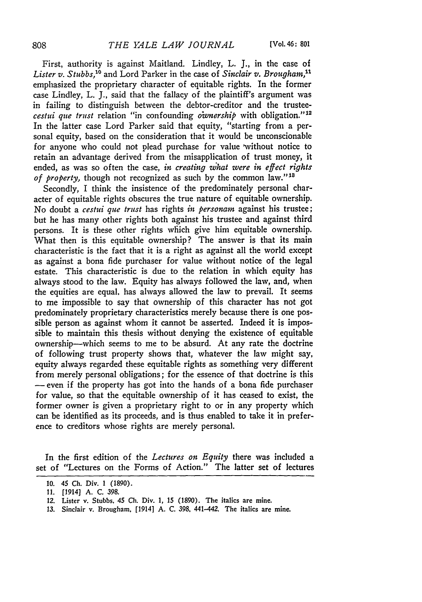First, authority is against Maitland. Lindley, L. **J.,** in the case of *Lister v. Stubbs,"0* and Lord Parker in the case of *Sinclair v. Brougham,11* emphasized the proprietary character of equitable rights. In the former case Lindley, L. J., said that the fallacy of the plaintiff's argument was in failing to distinguish between the debtor-creditor and the trustee*cestui que trust relation* "in confounding *oivnership* with obligation."<sup>12</sup> In the latter case Lord Parker said that equity, "starting from a personal equity, based on the consideration that it would be unconscionable for anyone who could not plead purchase for value without notice to retain an advantage derived from the misapplication of trust money, it ended, as was so often the case, *in creating what were in effect rights of property*, though not recognized as such by the common law."<sup>13</sup>

Secondly, I think the insistence of the predominately personal character of equitable rights obscures the true nature of equitable ownership. No doubt a *cestui que trust* has rights *in personarn* against his trustee; but he has many other rights both against his trustee and against third persons. It is these other rights wfiich give him equitable ownership. What then is this equitable ownership? The answer is that its main characteristic is the fact that it is a right as against all the world except as against a bona fide purchaser for value without notice of the legal estate. This characteristic is due to the relation in which equity has always stood to the law. Equity has always followed the law, and, when the equities are equal, has always allowed the law to prevail. It seems to me impossible to say that ownership of this character has not got predominately proprietary characteristics merely because there is one possible person as against whom it cannot be asserted. Indeed it is impossible to maintain this thesis without denying the existence of equitable ownership-which seems to me to be absurd. At any rate the doctrine of following trust property shows that, whatever the law might say, equity always regarded these equitable rights as something very different from merely personal obligations; for the essence of that doctrine is this -even if the property has got into the hands of a bona fide purchaser for value, so that the equitable ownership of it has ceased to exist, the former owner is given a proprietary right to or in any property which can be identified as its proceeds, and is thus enabled to take it in preference to creditors whose rights are merely personal.

In the first edition of the *Lectures on Equity* there was included a set of "Lectures on the Forms of Action." The latter set of lectures

**13.** Sinclair v. Brougham, [1914] **A. C.** 398. 441-442. The italics are mine.

**<sup>10.</sup>** 45 **Ch.** Div. 1 (1890).

<sup>11. [1914]</sup> A. **C.** 398.

*<sup>12.</sup>* Lister v. Stubbs, 45 **Ch.** Div. 1, 15 (1890). The italics are mine.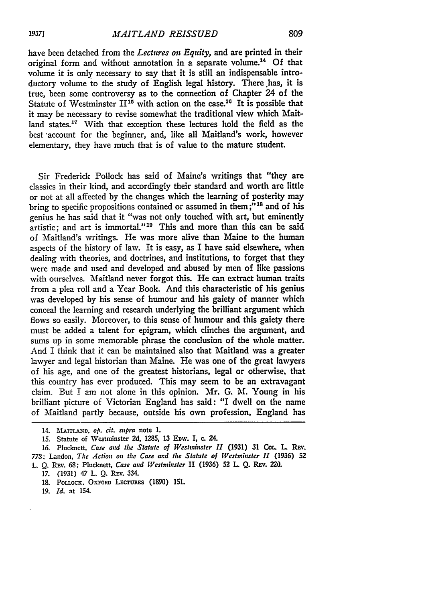have been detached from the *Lectures on Equity,* and are printed in their original form and without annotation in a separate volume.14 **Of** that volume it is only necessary to say that it is still an indispensable introductory volume to the study of English legal history. There has, it is true, been some controversy as to the connection of Chapter 24 of the Statute of Westminster  $II^{16}$  with action on the case.<sup>10</sup> It is possible that it may be necessary to revise somewhat the traditional view which Maitland states.<sup>17</sup> With that exception these lectures hold the field as the best 'account for the beginner, and, like all Maitland's work, however elementary, they have much that is of value to the mature student.

Sir Frederick Pollock has said of Maine's writings that "they are classics in their kind, and accordingly their standard and worth are little or not at all affected **by** the changes which the learning of posterity may bring to specific propositions contained or assumed in them **;" 's** and of his genius he has said that it "was not only touched with art, but eminently artistic; and art is immortal."<sup>19</sup> This and more than this can be said of Maitland's writings. He was more alive than Maine to the human aspects of the history of law. It is easy, as I have said elsewhere, when dealing with theories, and doctrines, and institutions, to forget that they were made and used and developed and abused **by** men of like passions with ourselves. Maitland never forgot this. He can extract human traits from a plea roll and a Year Book. And this characteristic of his genius was developed **by** his sense of humour and his gaiety of manner which conceal the learning and research underlying the brilliant argument which flows so easily. Moreover, to this sense of humour and this gaiety there must be added a talent for epigram, which clinches the argument, and sums up in some memorable phrase the conclusion of the whole matter. And I think that it can be maintained also that Maitland was a greater lawyer and legal historian than Maine. He was one of the great lawyers of his age, and one of the greatest historians, legal or otherwise, that this country has ever produced. This may seem to be an extravagant claim. But **I** am not alone in this opinion. Mr. **G.** M. Young in his brilliant picture of Victorian England has said: "I dwell on the name of Maitland partly because, outside his own profession, England has

**19.** *Id.* at 154.

<sup>14.</sup> **MATTLAND,** *Op. cit. supra* note **1.**

**<sup>15.</sup>** Statute of Westminster **2d, 1285, 13** EDW. **I, c. 24.**

**<sup>16.</sup>** Plucknett, *Case and the Statute of Westminster II* **(1931) 31 COL.** L **Rv.** *778:* Landon, *The Action on the Case atnd the Statute of Westminster II* **(1936)** <sup>52</sup> L. **Q.** REv. **68;** Plucknett, *Case and Westminster* II **(1936)** 52 L **Q. REv. 220.**

**<sup>17. (1931)</sup>** 47 L. *Q.* REv. 334.

**<sup>18.</sup>** POLLOCK. OXFORD LECTURES **(1890) 151.**